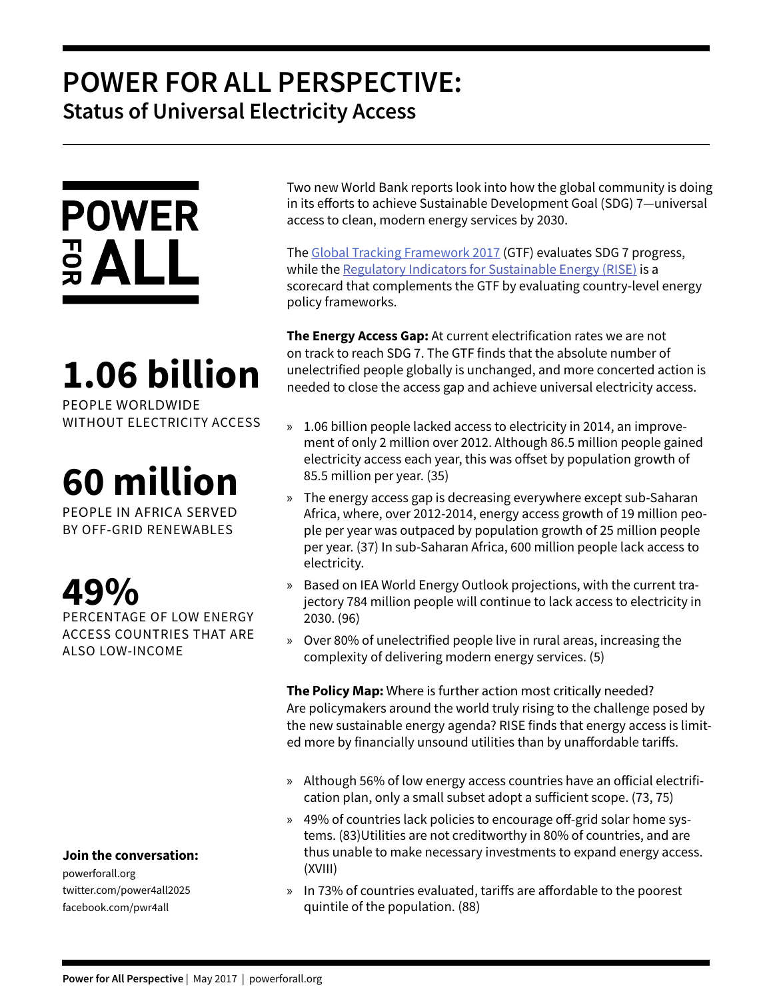### **POWER FOR ALL PERSPECTIVE: Status of Universal Electricity Access**



## **1.06 billion**

PEOPLE WORLDWIDE WITHOUT ELECTRICITY ACCESS

# **60 million**

PEOPLE IN AFRICA SERVED BY OFF-GRID RENEWABLES

**49%** 

PERCENTAGE OF LOW ENERGY ACCESS COUNTRIES THAT ARE ALSO LOW-INCOME

**Join the conversation:**

powerforall.org twitter.com/power4all2025 facebook.com/pwr4all

Two new World Bank reports look into how the global community is doing in its efforts to achieve Sustainable Development Goal (SDG) 7—universal access to clean, modern energy services by 2030.

The Global Tracking Framework 2017 (GTF) evaluates SDG 7 progress, while the Regulatory Indicators for Sustainable Energy (RISE) is a scorecard that complements the GTF by evaluating country-level energy policy frameworks.

**The Energy Access Gap:** At current electrification rates we are not on track to reach SDG 7. The GTF finds that the absolute number of unelectrified people globally is unchanged, and more concerted action is needed to close the access gap and achieve universal electricity access.

- » 1.06 billion people lacked access to electricity in 2014, an improvement of only 2 million over 2012. Although 86.5 million people gained electricity access each year, this was offset by population growth of 85.5 million per year. (35)
- » The energy access gap is decreasing everywhere except sub-Saharan Africa, where, over 2012-2014, energy access growth of 19 million people per year was outpaced by population growth of 25 million people per year. (37) In sub-Saharan Africa, 600 million people lack access to electricity.
- » Based on IEA World Energy Outlook projections, with the current trajectory 784 million people will continue to lack access to electricity in 2030. (96)
- » Over 80% of unelectrified people live in rural areas, increasing the complexity of delivering modern energy services. (5)

**The Policy Map:** Where is further action most critically needed? Are policymakers around the world truly rising to the challenge posed by the new sustainable energy agenda? RISE finds that energy access is limited more by financially unsound utilities than by unaffordable tariffs.

- » Although 56% of low energy access countries have an official electrification plan, only a small subset adopt a sufficient scope. (73, 75)
- » 49% of countries lack policies to encourage off-grid solar home systems. (83)Utilities are not creditworthy in 80% of countries, and are thus unable to make necessary investments to expand energy access. (XVIII)
- » In 73% of countries evaluated, tariffs are affordable to the poorest quintile of the population. (88)